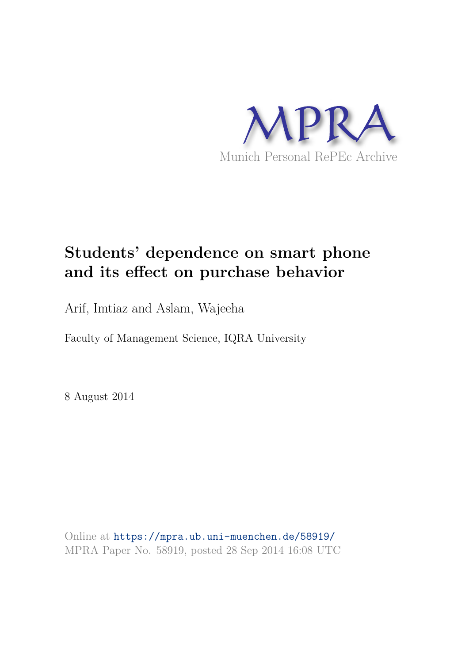

# **Students' dependence on smart phone and its effect on purchase behavior**

Arif, Imtiaz and Aslam, Wajeeha

Faculty of Management Science, IQRA University

8 August 2014

Online at https://mpra.ub.uni-muenchen.de/58919/ MPRA Paper No. 58919, posted 28 Sep 2014 16:08 UTC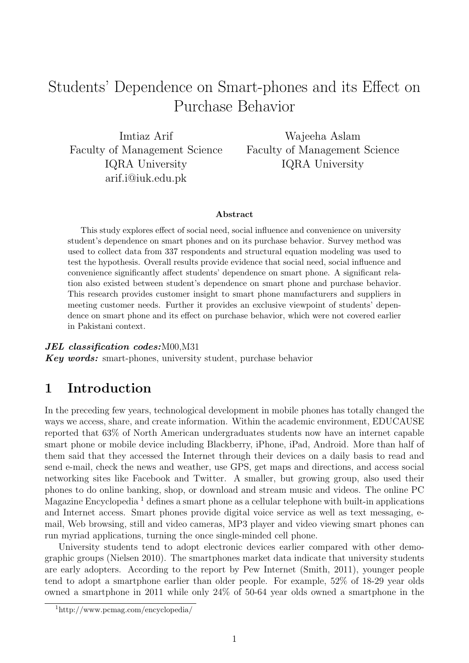# Students' Dependence on Smart-phones and its Effect on Purchase Behavior

Imtiaz Arif Faculty of Management Science IQRA University arif.i@iuk.edu.pk

Wajeeha Aslam Faculty of Management Science IQRA University

#### Abstract

This study explores effect of social need, social influence and convenience on university student's dependence on smart phones and on its purchase behavior. Survey method was used to collect data from 337 respondents and structural equation modeling was used to test the hypothesis. Overall results provide evidence that social need, social influence and convenience significantly affect students' dependence on smart phone. A significant relation also existed between student's dependence on smart phone and purchase behavior. This research provides customer insight to smart phone manufacturers and suppliers in meeting customer needs. Further it provides an exclusive viewpoint of students' dependence on smart phone and its effect on purchase behavior, which were not covered earlier in Pakistani context.

#### JEL classification codes: M00, M31

Key words: smart-phones, university student, purchase behavior

## 1 Introduction

In the preceding few years, technological development in mobile phones has totally changed the ways we access, share, and create information. Within the academic environment, EDUCAUSE reported that 63% of North American undergraduates students now have an internet capable smart phone or mobile device including Blackberry, iPhone, iPad, Android. More than half of them said that they accessed the Internet through their devices on a daily basis to read and send e-mail, check the news and weather, use GPS, get maps and directions, and access social networking sites like Facebook and Twitter. A smaller, but growing group, also used their phones to do online banking, shop, or download and stream music and videos. The online PC Magazine Encyclopedia<sup>1</sup> defines a smart phone as a cellular telephone with built-in applications and Internet access. Smart phones provide digital voice service as well as text messaging, email, Web browsing, still and video cameras, MP3 player and video viewing smart phones can run myriad applications, turning the once single-minded cell phone.

University students tend to adopt electronic devices earlier compared with other demographic groups (Nielsen 2010). The smartphones market data indicate that university students are early adopters. According to the report by Pew Internet (Smith, 2011), younger people tend to adopt a smartphone earlier than older people. For example, 52% of 18-29 year olds owned a smartphone in 2011 while only 24% of 50-64 year olds owned a smartphone in the

<sup>1</sup>http://www.pcmag.com/encyclopedia/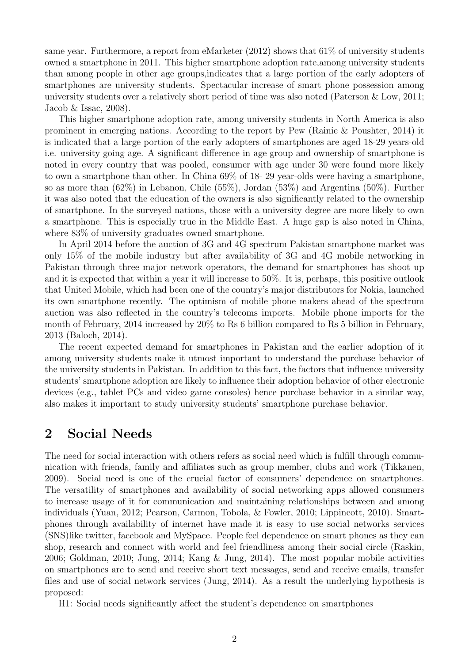same year. Furthermore, a report from eMarketer  $(2012)$  shows that  $61\%$  of university students owned a smartphone in 2011. This higher smartphone adoption rate,among university students than among people in other age groups,indicates that a large portion of the early adopters of smartphones are university students. Spectacular increase of smart phone possession among university students over a relatively short period of time was also noted (Paterson & Low, 2011; Jacob & Issac, 2008).

This higher smartphone adoption rate, among university students in North America is also prominent in emerging nations. According to the report by Pew (Rainie & Poushter, 2014) it is indicated that a large portion of the early adopters of smartphones are aged 18-29 years-old i.e. university going age. A significant difference in age group and ownership of smartphone is noted in every country that was pooled, consumer with age under 30 were found more likely to own a smartphone than other. In China 69% of 18- 29 year-olds were having a smartphone, so as more than (62%) in Lebanon, Chile (55%), Jordan (53%) and Argentina (50%). Further it was also noted that the education of the owners is also significantly related to the ownership of smartphone. In the surveyed nations, those with a university degree are more likely to own a smartphone. This is especially true in the Middle East. A huge gap is also noted in China, where  $83\%$  of university graduates owned smartphone.

In April 2014 before the auction of 3G and 4G spectrum Pakistan smartphone market was only 15% of the mobile industry but after availability of 3G and 4G mobile networking in Pakistan through three major network operators, the demand for smartphones has shoot up and it is expected that within a year it will increase to 50%. It is, perhaps, this positive outlook that United Mobile, which had been one of the country's major distributors for Nokia, launched its own smartphone recently. The optimism of mobile phone makers ahead of the spectrum auction was also reflected in the country's telecoms imports. Mobile phone imports for the month of February, 2014 increased by 20% to Rs 6 billion compared to Rs 5 billion in February, 2013 (Baloch, 2014).

The recent expected demand for smartphones in Pakistan and the earlier adoption of it among university students make it utmost important to understand the purchase behavior of the university students in Pakistan. In addition to this fact, the factors that influence university students' smartphone adoption are likely to influence their adoption behavior of other electronic devices (e.g., tablet PCs and video game consoles) hence purchase behavior in a similar way, also makes it important to study university students' smartphone purchase behavior.

## 2 Social Needs

The need for social interaction with others refers as social need which is fulfill through communication with friends, family and affiliates such as group member, clubs and work (Tikkanen, 2009). Social need is one of the crucial factor of consumers' dependence on smartphones. The versatility of smartphones and availability of social networking apps allowed consumers to increase usage of it for communication and maintaining relationships between and among individuals (Yuan, 2012; Pearson, Carmon, Tobola, & Fowler, 2010; Lippincott, 2010). Smartphones through availability of internet have made it is easy to use social networks services (SNS)like twitter, facebook and MySpace. People feel dependence on smart phones as they can shop, research and connect with world and feel friendliness among their social circle (Raskin, 2006; Goldman, 2010; Jung, 2014; Kang & Jung, 2014). The most popular mobile activities on smartphones are to send and receive short text messages, send and receive emails, transfer files and use of social network services (Jung, 2014). As a result the underlying hypothesis is proposed:

H1: Social needs significantly affect the student's dependence on smartphones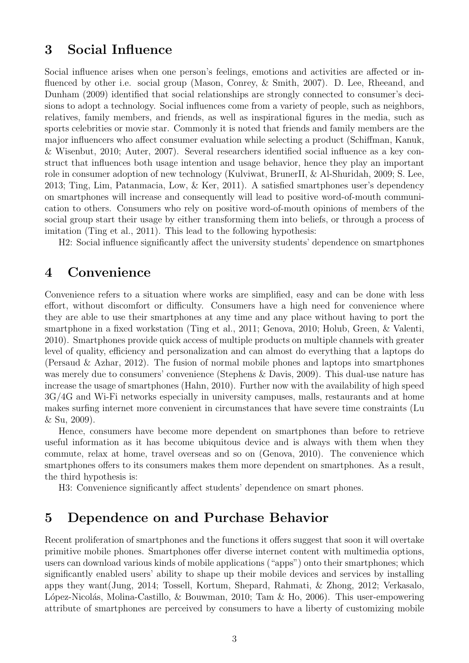## 3 Social Influence

Social influence arises when one person's feelings, emotions and activities are affected or influenced by other i.e. social group (Mason, Conrey, & Smith, 2007). D. Lee, Rheeand, and Dunham (2009) identified that social relationships are strongly connected to consumer's decisions to adopt a technology. Social influences come from a variety of people, such as neighbors, relatives, family members, and friends, as well as inspirational figures in the media, such as sports celebrities or movie star. Commonly it is noted that friends and family members are the major influencers who affect consumer evaluation while selecting a product (Schiffman, Kanuk, & Wisenbut, 2010; Auter, 2007). Several researchers identified social influence as a key construct that influences both usage intention and usage behavior, hence they play an important role in consumer adoption of new technology (Kulviwat, BrunerII, & Al-Shuridah, 2009; S. Lee, 2013; Ting, Lim, Patanmacia, Low, & Ker, 2011). A satisfied smartphones user's dependency on smartphones will increase and consequently will lead to positive word-of-mouth communication to others. Consumers who rely on positive word-of-mouth opinions of members of the social group start their usage by either transforming them into beliefs, or through a process of imitation (Ting et al., 2011). This lead to the following hypothesis:

H2: Social influence significantly affect the university students' dependence on smartphones

## 4 Convenience

Convenience refers to a situation where works are simplified, easy and can be done with less effort, without discomfort or difficulty. Consumers have a high need for convenience where they are able to use their smartphones at any time and any place without having to port the smartphone in a fixed workstation (Ting et al., 2011; Genova, 2010; Holub, Green, & Valenti, 2010). Smartphones provide quick access of multiple products on multiple channels with greater level of quality, efficiency and personalization and can almost do everything that a laptops do (Persaud & Azhar, 2012). The fusion of normal mobile phones and laptops into smartphones was merely due to consumers' convenience (Stephens & Davis, 2009). This dual-use nature has increase the usage of smartphones (Hahn, 2010). Further now with the availability of high speed 3G/4G and Wi-Fi networks especially in university campuses, malls, restaurants and at home makes surfing internet more convenient in circumstances that have severe time constraints (Lu & Su, 2009).

Hence, consumers have become more dependent on smartphones than before to retrieve useful information as it has become ubiquitous device and is always with them when they commute, relax at home, travel overseas and so on (Genova, 2010). The convenience which smartphones offers to its consumers makes them more dependent on smartphones. As a result, the third hypothesis is:

H3: Convenience significantly affect students' dependence on smart phones.

## 5 Dependence on and Purchase Behavior

Recent proliferation of smartphones and the functions it offers suggest that soon it will overtake primitive mobile phones. Smartphones offer diverse internet content with multimedia options, users can download various kinds of mobile applications ("apps") onto their smartphones; which significantly enabled users' ability to shape up their mobile devices and services by installing apps they want(Jung, 2014; Tossell, Kortum, Shepard, Rahmati, & Zhong, 2012; Verkasalo, López-Nicolás, Molina-Castillo, & Bouwman, 2010; Tam & Ho, 2006). This user-empowering attribute of smartphones are perceived by consumers to have a liberty of customizing mobile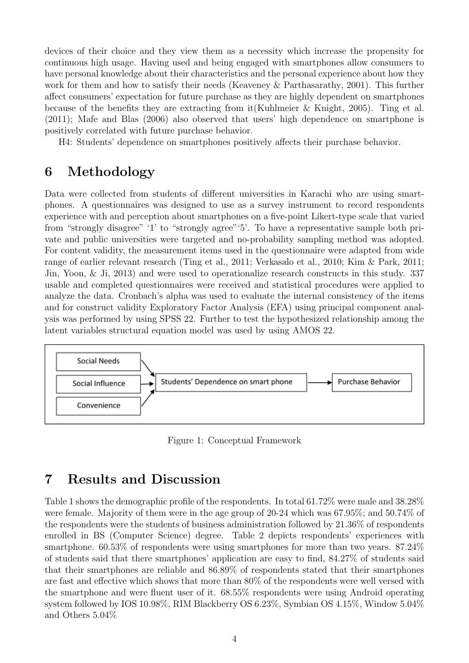devices of their choice and they view them as a necessity which increase the propensity for continuous high usage. Having used and being engaged with smartphones allow consumers to have personal knowledge about their characteristics and the personal experience about how they work for them and how to satisfy their needs (Keaveney & Parthasarathy, 2001). This further affect consumers' expectation for future purchase as they are highly dependent on smartphones because of the benefits they are extracting from it(Kuhlmeier & Knight, 2005). Ting et al. (2011); Mafe and Blas (2006) also observed that users' high dependence on smartphone is positively correlated with future purchase behavior.

H4: Students' dependence on smartphones positively affects their purchase behavior.

# 6 Methodology

Data were collected from students of different universities in Karachi who are using smartphones. A questionnaires was designed to use as a survey instrument to record respondents experience with and perception about smartphones on a five-point Likert-type scale that varied from "strongly disagree" '1' to "strongly agree"'5'. To have a representative sample both private and public universities were targeted and no-probability sampling method was adopted. For content validity, the measurement items used in the questionnaire were adapted from wide range of earlier relevant research (Ting et al., 2011; Verkasalo et al., 2010; Kim & Park, 2011; Jin, Yoon, & Ji, 2013) and were used to operationalize research constructs in this study. 337 usable and completed questionnaires were received and statistical procedures were applied to analyze the data. Cronbach's alpha was used to evaluate the internal consistency of the items and for construct validity Exploratory Factor Analysis (EFA) using principal component analysis was performed by using SPSS 22. Further to test the hypothesized relationship among the latent variables structural equation model was used by using AMOS 22.



Figure 1: Conceptual Framework

# 7 Results and Discussion

Table 1 shows the demographic profile of the respondents. In total 61.72% were male and 38.28% were female. Majority of them were in the age group of 20-24 which was 67.95%; and 50.74% of the respondents were the students of business administration followed by 21.36% of respondents enrolled in BS (Computer Science) degree. Table 2 depicts respondents' experiences with smartphone. 60.53% of respondents were using smartphones for more than two years. 87.24% of students said that there smartphones' application are easy to find, 84.27% of students said that their smartphones are reliable and 86.89% of respondents stated that their smartphones are fast and effective which shows that more than 80% of the respondents were well versed with the smartphone and were fluent user of it. 68.55% respondents were using Android operating system followed by IOS 10.98%, RIM Blackberry OS 6.23%, Symbian OS 4.15%, Window 5.04% and Others 5.04%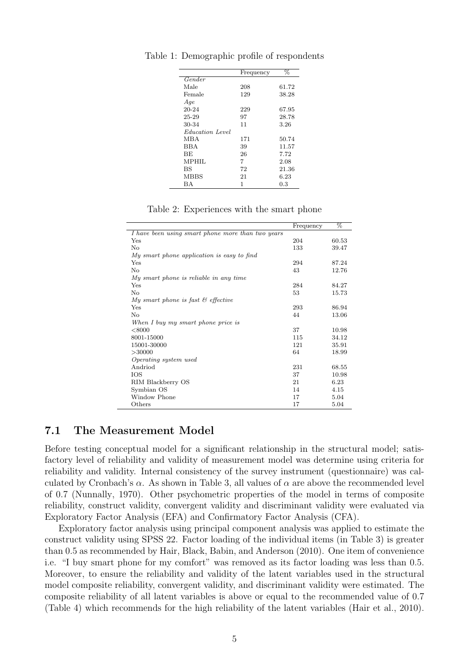|                        | Frequency | %     |
|------------------------|-----------|-------|
| Gender                 |           |       |
| Male                   | 208       | 61.72 |
| Female                 | 129       | 38.28 |
| Age                    |           |       |
| 20-24                  | 229       | 67.95 |
| 25-29                  | 97        | 28.78 |
| 30-34                  | 11        | 3.26  |
| <i>Education Level</i> |           |       |
| MBA                    | 171       | 50.74 |
| <b>BBA</b>             | 39        | 11.57 |
| BE                     | 26        | 7.72  |
| MPHIL                  | 7         | 2.08  |
| BS                     | 72        | 21.36 |
| <b>MBBS</b>            | 21        | 6.23  |
| <b>BA</b>              | 1         | 0.3   |

Table 1: Demographic profile of respondents

|  | Table 2: Experiences with the smart phone |  |  |  |
|--|-------------------------------------------|--|--|--|
|--|-------------------------------------------|--|--|--|

|                                                   | Frequency | %     |
|---------------------------------------------------|-----------|-------|
| I have been using smart phone more than two years |           |       |
| Yes                                               | 204       | 60.53 |
| $\rm No$                                          | 133       | 39.47 |
| My smart phone application is easy to find        |           |       |
| Yes                                               | 294       | 87.24 |
| $\rm No$                                          | 43        | 12.76 |
| My smart phone is reliable in any time            |           |       |
| Yes                                               | 284       | 84.27 |
| No                                                | 53        | 15.73 |
| My smart phone is fast $\mathcal{C}$ effective    |           |       |
| Yes                                               | 293       | 86.94 |
| $\rm No$                                          | 44        | 13.06 |
| When I buy my smart phone price is                |           |       |
| < 8000                                            | 37        | 10.98 |
| 8001-15000                                        | 115       | 34.12 |
| 15001-30000                                       | 121       | 35.91 |
| >30000                                            | 64        | 18.99 |
| Operating system used                             |           |       |
| Andriod                                           | 231       | 68.55 |
| IOS                                               | 37        | 10.98 |
| RIM Blackberry OS                                 | 21        | 6.23  |
| Symbian OS                                        | 14        | 4.15  |
| Window Phone                                      | 17        | 5.04  |
| Others                                            | 17        | 5.04  |

#### 7.1 The Measurement Model

Before testing conceptual model for a significant relationship in the structural model; satisfactory level of reliability and validity of measurement model was determine using criteria for reliability and validity. Internal consistency of the survey instrument (questionnaire) was calculated by Cronbach's  $\alpha$ . As shown in Table 3, all values of  $\alpha$  are above the recommended level of 0.7 (Nunnally, 1970). Other psychometric properties of the model in terms of composite reliability, construct validity, convergent validity and discriminant validity were evaluated via Exploratory Factor Analysis (EFA) and Confirmatory Factor Analysis (CFA).

Exploratory factor analysis using principal component analysis was applied to estimate the construct validity using SPSS 22. Factor loading of the individual items (in Table 3) is greater than 0.5 as recommended by Hair, Black, Babin, and Anderson (2010). One item of convenience i.e. "I buy smart phone for my comfort" was removed as its factor loading was less than 0.5. Moreover, to ensure the reliability and validity of the latent variables used in the structural model composite reliability, convergent validity, and discriminant validity were estimated. The composite reliability of all latent variables is above or equal to the recommended value of 0.7 (Table 4) which recommends for the high reliability of the latent variables (Hair et al., 2010).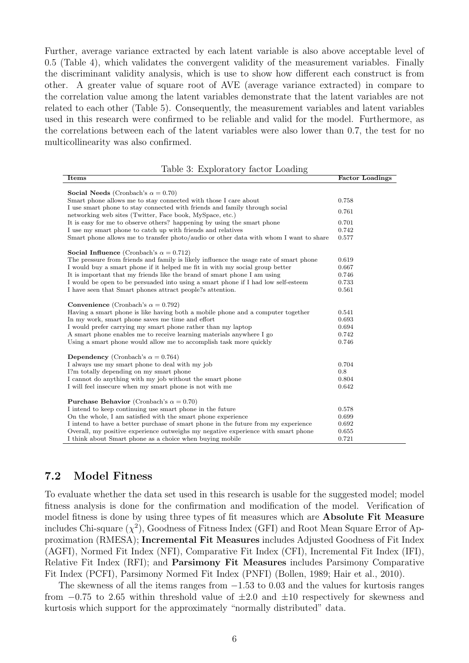Further, average variance extracted by each latent variable is also above acceptable level of 0.5 (Table 4), which validates the convergent validity of the measurement variables. Finally the discriminant validity analysis, which is use to show how different each construct is from other. A greater value of square root of AVE (average variance extracted) in compare to the correlation value among the latent variables demonstrate that the latent variables are not related to each other (Table 5). Consequently, the measurement variables and latent variables used in this research were confirmed to be reliable and valid for the model. Furthermore, as the correlations between each of the latent variables were also lower than 0.7, the test for no multicollinearity was also confirmed.

|  | Table 3: Exploratory factor Loading |  |  |
|--|-------------------------------------|--|--|
|--|-------------------------------------|--|--|

| <b>Factor Loadings</b> |
|------------------------|
|                        |
| 0.758                  |
| 0.761                  |
| 0.701                  |
| 0.742                  |
| 0.577                  |
|                        |
| 0.619                  |
| 0.667                  |
| 0.746                  |
| 0.733                  |
| 0.561                  |
|                        |
| 0.541                  |
| 0.693                  |
| 0.694                  |
| 0.742                  |
| 0.746                  |
|                        |
| 0.704                  |
| 0.8                    |
| 0.804                  |
| 0.642                  |
|                        |
| 0.578                  |
| 0.699                  |
| 0.692                  |
| 0.655                  |
| 0.721                  |
|                        |

#### 7.2 Model Fitness

To evaluate whether the data set used in this research is usable for the suggested model; model fitness analysis is done for the confirmation and modification of the model. Verification of model fitness is done by using three types of fit measures which are Absolute Fit Measure includes Chi-square  $(\chi^2)$ , Goodness of Fitness Index (GFI) and Root Mean Square Error of Approximation (RMESA); Incremental Fit Measures includes Adjusted Goodness of Fit Index (AGFI), Normed Fit Index (NFI), Comparative Fit Index (CFI), Incremental Fit Index (IFI), Relative Fit Index (RFI); and Parsimony Fit Measures includes Parsimony Comparative Fit Index (PCFI), Parsimony Normed Fit Index (PNFI) (Bollen, 1989; Hair et al., 2010).

The skewness of all the items ranges from  $-1.53$  to 0.03 and the values for kurtosis ranges from  $-0.75$  to 2.65 within threshold value of  $\pm 2.0$  and  $\pm 10$  respectively for skewness and kurtosis which support for the approximately "normally distributed" data.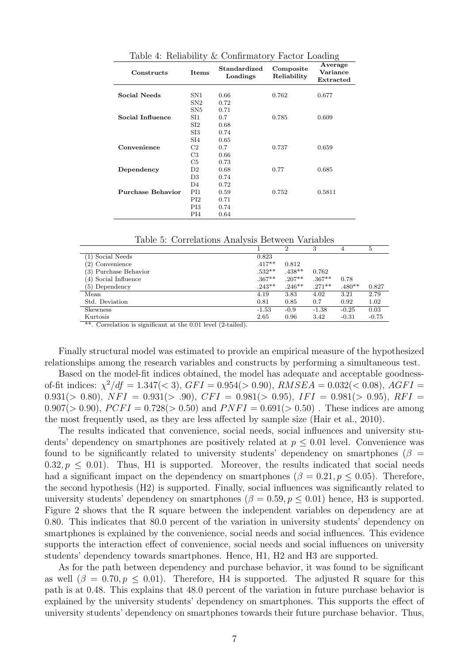| $\alpha$ radio 4. Techability $\alpha$ Commitmatory Factor Doading |                                                               |      |                                  |        |  |  |
|--------------------------------------------------------------------|---------------------------------------------------------------|------|----------------------------------|--------|--|--|
| Constructs                                                         | Standardized<br>Composite<br>Items<br>Loadings<br>Reliability |      | Average<br>Variance<br>Extracted |        |  |  |
|                                                                    |                                                               |      |                                  |        |  |  |
| Social Needs                                                       | SN1                                                           | 0.66 | 0.762                            | 0.677  |  |  |
|                                                                    | SN2                                                           | 0.72 |                                  |        |  |  |
|                                                                    | SN5                                                           | 0.71 |                                  |        |  |  |
| Social Influence                                                   | SI1                                                           | 0.7  | 0.785                            | 0.609  |  |  |
|                                                                    | $\mathrm{SI}2$                                                | 0.68 |                                  |        |  |  |
|                                                                    | SI3                                                           | 0.74 |                                  |        |  |  |
|                                                                    | SI4                                                           | 0.65 |                                  |        |  |  |
| Convenience                                                        | C2                                                            | 0.7  | 0.737                            | 0.659  |  |  |
|                                                                    | C3                                                            | 0.66 |                                  |        |  |  |
|                                                                    | C5                                                            | 0.73 |                                  |        |  |  |
| Dependency                                                         | D2.                                                           | 0.68 | 0.77                             | 0.685  |  |  |
|                                                                    | D3                                                            | 0.74 |                                  |        |  |  |
|                                                                    | D4                                                            | 0.72 |                                  |        |  |  |
| <b>Purchase Behavior</b>                                           | PI1                                                           | 0.59 | 0.752                            | 0.5811 |  |  |
|                                                                    | PI2                                                           | 0.71 |                                  |        |  |  |
|                                                                    | PI3                                                           | 0.74 |                                  |        |  |  |
|                                                                    | PI4                                                           | 0.64 |                                  |        |  |  |
|                                                                    |                                                               |      |                                  |        |  |  |

Table 4: Reliability & Confirmatory Factor Loading

Table 5: Correlations Analysis Between Variables

|                       |          | $\overline{2}$ | 3        | 4        | 5       |
|-----------------------|----------|----------------|----------|----------|---------|
| (1) Social Needs      | 0.823    |                |          |          |         |
| (2) Convenience       | $.417**$ | 0.812          |          |          |         |
| (3) Purchase Behavior | $.532**$ | $.438**$       | 0.762    |          |         |
| (4) Social Influence  | $.367**$ | $.207**$       | $.367**$ | 0.78     |         |
| $(5)$ Dependency      | $.243**$ | $.246**$       | $.271**$ | $.480**$ | 0.827   |
| Mean                  | 4.19     | 3.83           | 4.02     | 3.21     | 2.79    |
| Std. Deviation        | 0.81     | 0.85           | 0.7      | 0.92     | 1.02    |
| Skewness              | $-1.53$  | $-0.9$         | $-1.38$  | $-0.25$  | 0.03    |
| Kurtosis              | 2.65     | 0.96           | 3.42     | $-0.31$  | $-0.75$ |
| $-1$<br>.             |          |                |          |          |         |

\*\*. Correlation is significant at the 0.01 level (2-tailed).

Finally structural model was estimated to provide an empirical measure of the hypothesized relationships among the research variables and constructs by performing a simultaneous test.

Based on the model-fit indices obtained, the model has adequate and acceptable goodnessof-fit indices:  $\chi^2/df = 1.347(< 3)$ ,  $GFI = 0.954(> 0.90)$ ,  $RMSEA = 0.032(< 0.08)$ ,  $AGFI =$ 0.931( $> 0.80$ ),  $NFI = 0.931(> .90)$ ,  $CFI = 0.981(> 0.95)$ ,  $IFI = 0.981(> 0.95)$ ,  $RFI = 0.981(> 0.95)$ 0.907( $> 0.90$ ),  $PCFI = 0.728 (> 0.50)$  and  $PNFI = 0.691 (> 0.50)$ . These indices are among the most frequently used, as they are less affected by sample size (Hair et al., 2010).

The results indicated that convenience, social needs, social influences and university students' dependency on smartphones are positively related at  $p \leq 0.01$  level. Convenience was found to be significantly related to university students' dependency on smartphones ( $\beta$  =  $0.32, p \leq 0.01$ . Thus, H1 is supported. Moreover, the results indicated that social needs had a significant impact on the dependency on smartphones ( $\beta = 0.21, p \le 0.05$ ). Therefore, the second hypothesis (H2) is supported. Finally, social influences was significantly related to university students' dependency on smartphones ( $\beta = 0.59, p \le 0.01$ ) hence, H3 is supported. Figure 2 shows that the R square between the independent variables on dependency are at 0.80. This indicates that 80.0 percent of the variation in university students' dependency on smartphones is explained by the convenience, social needs and social influences. This evidence supports the interaction effect of convenience, social needs and social influences on university students' dependency towards smartphones. Hence, H1, H2 and H3 are supported.

As for the path between dependency and purchase behavior, it was found to be significant as well  $(\beta = 0.70, p \le 0.01)$ . Therefore, H4 is supported. The adjusted R square for this path is at 0.48. This explains that 48.0 percent of the variation in future purchase behavior is explained by the university students' dependency on smartphones. This supports the effect of university students' dependency on smartphones towards their future purchase behavior. Thus,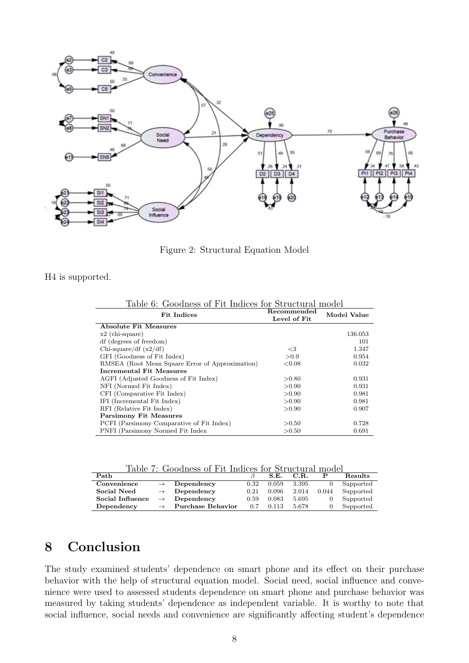

Figure 2: Structural Equation Model

H4 is supported.

| Table 0. Qoodiless of 1 to filthees for Burdeuthal moder |              |             |  |  |  |
|----------------------------------------------------------|--------------|-------------|--|--|--|
| <b>Fit Indices</b>                                       | Recommended  | Model Value |  |  |  |
|                                                          | Level of Fit |             |  |  |  |
| Absolute Fit Measures                                    |              |             |  |  |  |
| $x2$ (chi-square)                                        |              | 136.053     |  |  |  |
| df (degrees of freedom)                                  |              | 101         |  |  |  |
| Chi-square/df $(x2/df)$                                  | $\leq$ 3     | 1.347       |  |  |  |
| GFI (Goodness of Fit Index)                              | > 0.9        | 0.954       |  |  |  |
| RMSEA (Root Mean Square Error of Approximation)          | ${<}0.08$    | 0.032       |  |  |  |
| Incremental Fit Measures                                 |              |             |  |  |  |
| AGFI (Adjusted Goodness of Fit Index)                    | > 0.80       | 0.931       |  |  |  |
| NFI (Normed Fit Index)                                   | >0.90        | 0.931       |  |  |  |
| CFI (Comparative Fit Index)                              | >0.90        | 0.981       |  |  |  |
| IFI (Incremental Fit Index)                              | > 0.90       | 0.981       |  |  |  |
| RFI (Relative Fit Index)                                 | > 0.90       | 0.907       |  |  |  |
| <b>Parsimony Fit Measures</b>                            |              |             |  |  |  |
| PCFI (Parsimony Comparative of Fit Index)                | >0.50        | 0.728       |  |  |  |
| PNFI (Parsimony Normed Fit Index                         | >0.50        | 0.691       |  |  |  |

Table 6: Goodness of Fit Indices for Structural model

Table 7: Goodness of Fit Indices for Structural model

| Path             |               |                          |      | S.E.  | C.R.  |       | Results   |
|------------------|---------------|--------------------------|------|-------|-------|-------|-----------|
| Convenience      |               | Dependency               | 0.32 | 0.059 | 3.395 |       | Supported |
| Social Need      |               | Dependency               | 0.21 | 0.096 | 2.014 | 0.044 | Supported |
| Social Influence |               | Dependency               | 0.59 | 0.083 | 5.695 |       | Supported |
| Dependency       | $\rightarrow$ | <b>Purchase Behavior</b> | 0.7  | 0.113 | 5.678 |       | Supported |

# 8 Conclusion

The study examined students' dependence on smart phone and its effect on their purchase behavior with the help of structural equation model. Social need, social influence and convenience were used to assessed students dependence on smart phone and purchase behavior was measured by taking students' dependence as independent variable. It is worthy to note that social influence, social needs and convenience are significantly affecting student's dependence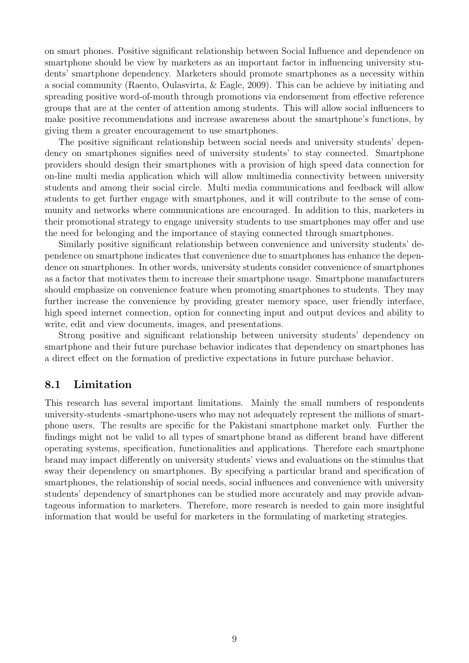on smart phones. Positive significant relationship between Social Influence and dependence on smartphone should be view by marketers as an important factor in influencing university students' smartphone dependency. Marketers should promote smartphones as a necessity within a social community (Raento, Oulasvirta, & Eagle, 2009). This can be achieve by initiating and spreading positive word-of-mouth through promotions via endorsement from effective reference groups that are at the center of attention among students. This will allow social influencers to make positive recommendations and increase awareness about the smartphone's functions, by giving them a greater encouragement to use smartphones.

The positive significant relationship between social needs and university students' dependency on smartphones signifies need of university students' to stay connected. Smartphone providers should design their smartphones with a provision of high speed data connection for on-line multi media application which will allow multimedia connectivity between university students and among their social circle. Multi media communications and feedback will allow students to get further engage with smartphones, and it will contribute to the sense of community and networks where communications are encouraged. In addition to this, marketers in their promotional strategy to engage university students to use smartphones may offer and use the need for belonging and the importance of staying connected through smartphones.

Similarly positive significant relationship between convenience and university students' dependence on smartphone indicates that convenience due to smartphones has enhance the dependence on smartphones. In other words, university students consider convenience of smartphones as a factor that motivates them to increase their smartphone usage. Smartphone manufacturers should emphasize on convenience feature when promoting smartphones to students. They may further increase the convenience by providing greater memory space, user friendly interface, high speed internet connection, option for connecting input and output devices and ability to write, edit and view documents, images, and presentations.

Strong positive and significant relationship between university students' dependency on smartphone and their future purchase behavior indicates that dependency on smartphones has a direct effect on the formation of predictive expectations in future purchase behavior.

#### 8.1 Limitation

This research has several important limitations. Mainly the small numbers of respondents university-students -smartphone-users who may not adequately represent the millions of smartphone users. The results are specific for the Pakistani smartphone market only. Further the findings might not be valid to all types of smartphone brand as different brand have different operating systems, specification, functionalities and applications. Therefore each smartphone brand may impact differently on university students' views and evaluations on the stimulus that sway their dependency on smartphones. By specifying a particular brand and specification of smartphones, the relationship of social needs, social influences and convenience with university students' dependency of smartphones can be studied more accurately and may provide advantageous information to marketers. Therefore, more research is needed to gain more insightful information that would be useful for marketers in the formulating of marketing strategies.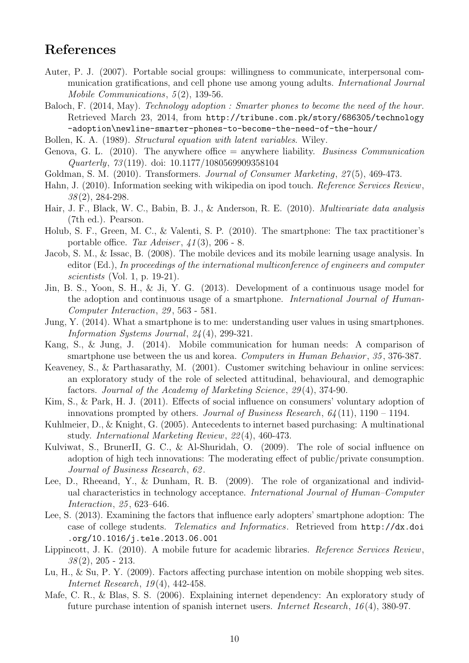# References

- Auter, P. J. (2007). Portable social groups: willingness to communicate, interpersonal communication gratifications, and cell phone use among young adults. *International Journal Mobile Communications*, *5* (2), 139-56.
- Baloch, F. (2014, May). *Technology adoption : Smarter phones to become the need of the hour.* Retrieved March 23, 2014, from http://tribune.com.pk/story/686305/technology -adoption\newline-smarter-phones-to-become-the-need-of-the-hour/
- Bollen, K. A. (1989). *Structural equation with latent variables*. Wiley.
- Genova, G. L. (2010). The anywhere office = anywhere liability. *Business Communication Quarterly*, *73* (119). doi: 10.1177/1080569909358104
- Goldman, S. M. (2010). Transformers. *Journal of Consumer Marketing*, *27* (5), 469-473.
- Hahn, J. (2010). Information seeking with wikipedia on ipod touch. *Reference Services Review*, *38* (2), 284-298.
- Hair, J. F., Black, W. C., Babin, B. J., & Anderson, R. E. (2010). *Multivariate data analysis* (7th ed.). Pearson.
- Holub, S. F., Green, M. C., & Valenti, S. P. (2010). The smartphone: The tax practitioner's portable office. *Tax Adviser* , *41* (3), 206 - 8.
- Jacob, S. M., & Issac, B. (2008). The mobile devices and its mobile learning usage analysis. In editor (Ed.), *In proceedings of the international multiconference of engineers and computer scientists* (Vol. 1, p. 19-21).
- Jin, B. S., Yoon, S. H., & Ji, Y. G. (2013). Development of a continuous usage model for the adoption and continuous usage of a smartphone. *International Journal of Human-Computer Interaction*, *29* , 563 - 581.
- Jung, Y. (2014). What a smartphone is to me: understanding user values in using smartphones. *Information Systems Journal*, *24* (4), 299-321.
- Kang, S., & Jung, J. (2014). Mobile communication for human needs: A comparison of smartphone use between the us and korea. *Computers in Human Behavior*, 35, 376-387.
- Keaveney, S., & Parthasarathy, M. (2001). Customer switching behaviour in online services: an exploratory study of the role of selected attitudinal, behavioural, and demographic factors. *Journal of the Academy of Marketing Science*, *29* (4), 374-90.
- Kim, S., & Park, H. J. (2011). Effects of social influence on consumers' voluntary adoption of innovations prompted by others. *Journal of Business Research*, *64* (11), 1190 – 1194.
- Kuhlmeier, D., & Knight, G. (2005). Antecedents to internet based purchasing: A multinational study. *International Marketing Review*, *22* (4), 460-473.
- Kulviwat, S., BrunerII, G. C., & Al-Shuridah, O. (2009). The role of social influence on adoption of high tech innovations: The moderating effect of public/private consumption. *Journal of Business Research*, *62* .
- Lee, D., Rheeand, Y., & Dunham, R. B. (2009). The role of organizational and individual characteristics in technology acceptance. *International Journal of Human–Computer Interaction*, *25* , 623–646.
- Lee, S. (2013). Examining the factors that influence early adopters' smartphone adoption: The case of college students. *Telematics and Informatics*. Retrieved from http://dx.doi .org/10.1016/j.tele.2013.06.001
- Lippincott, J. K. (2010). A mobile future for academic libraries. *Reference Services Review*, *38* (2), 205 - 213.
- Lu, H., & Su, P. Y. (2009). Factors affecting purchase intention on mobile shopping web sites. *Internet Research*, *19* (4), 442-458.
- Mafe, C. R., & Blas, S. S. (2006). Explaining internet dependency: An exploratory study of future purchase intention of spanish internet users. *Internet Research*, *16* (4), 380-97.